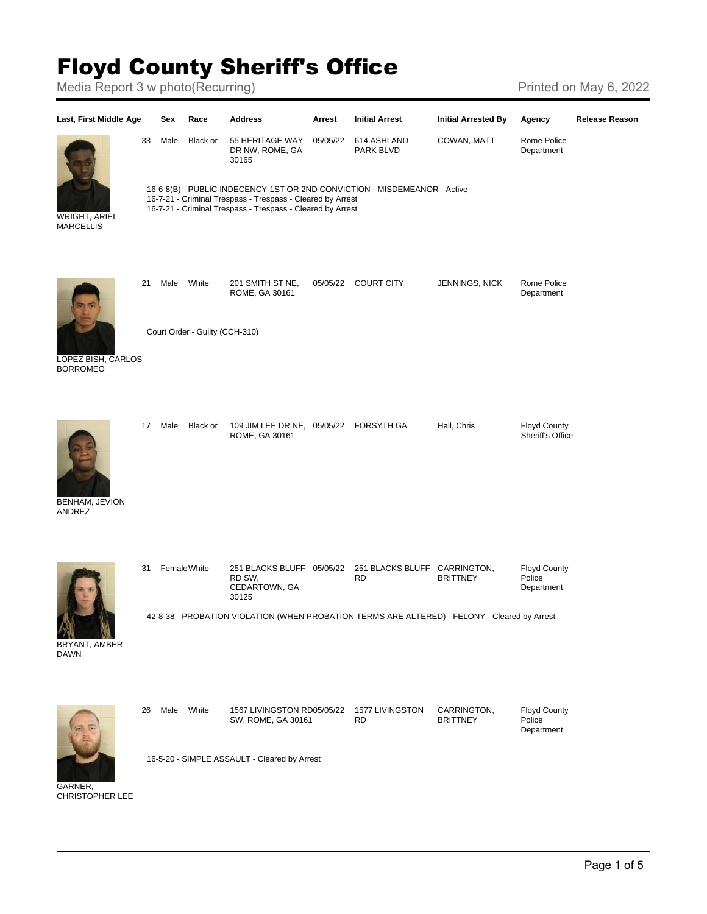## Floyd County Sheriff's Office

Media Report 3 w photo(Recurring) Media Report 3 w photo(Recurring)



GARNER, CHRISTOPHER LEE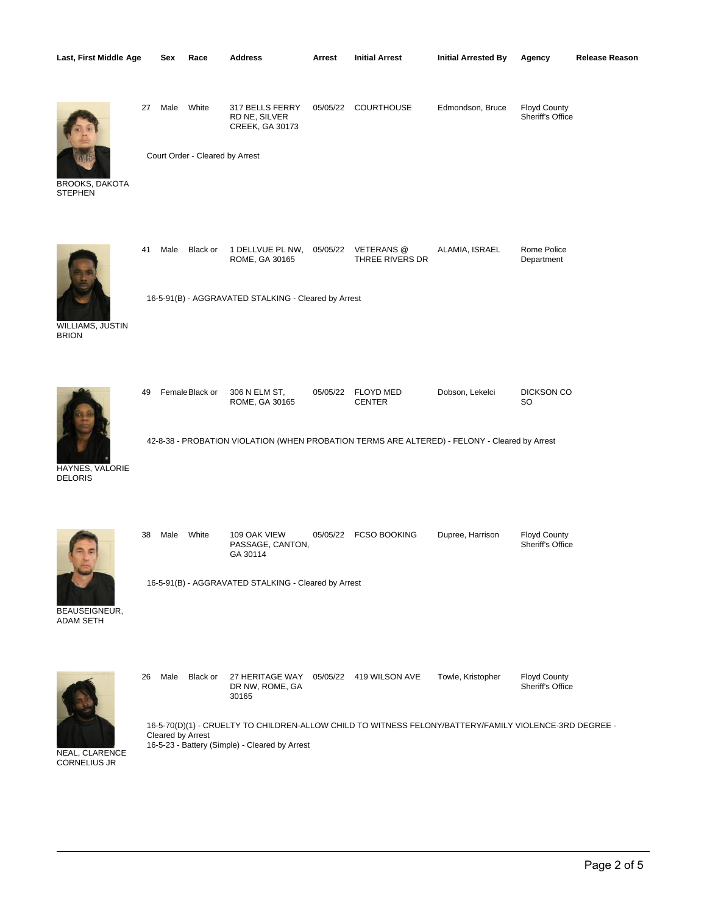|  |  | Last, First Middle Age |  | Sex |
|--|--|------------------------|--|-----|
|--|--|------------------------|--|-----|



 27 Male White 317 BELLS FERRY RD NE, SILVER CREEK, GA 30173

Court Order - Cleared by Arrest

05/05/22 COURTHOUSE Edmondson, Bruce Floyd County

Sheriff's Office

Department



**STEPHEN** 



41 Male Black or ROME, GA 30165 1 DELLVUE PL NW, 05/05/22 VETERANS @ THREE RIVERS DR ALAMIA, ISRAEL Rome Police

16-5-91(B) - AGGRAVATED STALKING - Cleared by Arrest

WILLIAMS, JUSTIN BRION



| 49 FemaleBlack or | 306 N ELM ST.<br>ROME, GA 30165 | 05/05/22 FLOYD MED<br><b>CENTER</b> | Dobson, Lekelci | <b>DICKSON CO</b><br>SO |
|-------------------|---------------------------------|-------------------------------------|-----------------|-------------------------|
|                   |                                 |                                     |                 |                         |

42-8-38 - PROBATION VIOLATION (WHEN PROBATION TERMS ARE ALTERED) - FELONY - Cleared by Arrest

HAYNES, VALORIE DELORIS

 38 Male White 109 OAK VIEW PASSAGE, CANTON, GA 30114 05/05/22 FCSO BOOKING Dupree, Harrison Floyd County Sheriff's Office BEAUSEIGNEUR, ADAM SETH 16-5-91(B) - AGGRAVATED STALKING - Cleared by Arrest



 26 Male Black or 27 HERITAGE WAY 05/05/22 419 WILSON AVE Towle, Kristopher Floyd County DR NW, ROME, GA 30165 Sheriff's Office

16-5-70(D)(1) - CRUELTY TO CHILDREN-ALLOW CHILD TO WITNESS FELONY/BATTERY/FAMILY VIOLENCE-3RD DEGREE - Cleared by Arrest 16-5-23 - Battery (Simple) - Cleared by Arrest

NEAL, CLARENCE CORNELIUS JR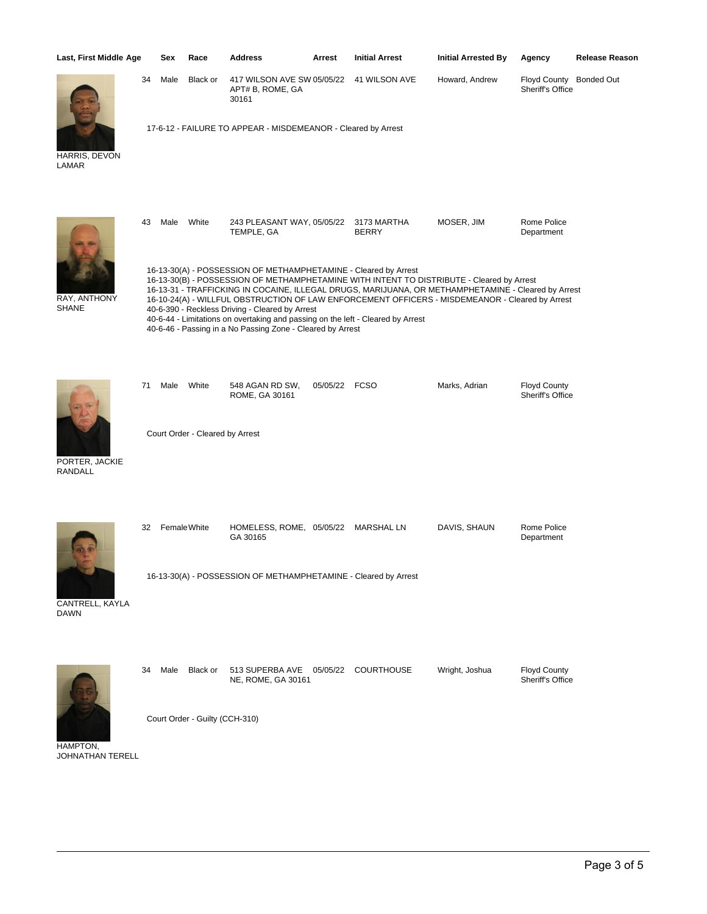| Last, First Middle Age           |    | Sex  | Race                                     | <b>Address</b>                                                                                                                                                                                                                                                      | Arrest        | <b>Initial Arrest</b>                                                                                                                                                                                                                                                                               | <b>Initial Arrested By</b> | Agency                                  | <b>Release Reason</b> |
|----------------------------------|----|------|------------------------------------------|---------------------------------------------------------------------------------------------------------------------------------------------------------------------------------------------------------------------------------------------------------------------|---------------|-----------------------------------------------------------------------------------------------------------------------------------------------------------------------------------------------------------------------------------------------------------------------------------------------------|----------------------------|-----------------------------------------|-----------------------|
|                                  | 34 | Male | Black or                                 | 417 WILSON AVE SW 05/05/22<br>APT# B, ROME, GA<br>30161                                                                                                                                                                                                             |               | 41 WILSON AVE                                                                                                                                                                                                                                                                                       | Howard, Andrew             | <b>Floyd County</b><br>Sheriff's Office | <b>Bonded Out</b>     |
| HARRIS, DEVON<br>LAMAR           |    |      |                                          | 17-6-12 - FAILURE TO APPEAR - MISDEMEANOR - Cleared by Arrest                                                                                                                                                                                                       |               |                                                                                                                                                                                                                                                                                                     |                            |                                         |                       |
|                                  | 43 | Male | White                                    | 243 PLEASANT WAY, 05/05/22<br>TEMPLE, GA                                                                                                                                                                                                                            |               | 3173 MARTHA<br><b>BERRY</b>                                                                                                                                                                                                                                                                         | MOSER, JIM                 | Rome Police<br>Department               |                       |
| RAY, ANTHONY<br><b>SHANE</b>     |    |      |                                          | 16-13-30(A) - POSSESSION OF METHAMPHETAMINE - Cleared by Arrest<br>40-6-390 - Reckless Driving - Cleared by Arrest<br>40-6-44 - Limitations on overtaking and passing on the left - Cleared by Arrest<br>40-6-46 - Passing in a No Passing Zone - Cleared by Arrest |               | 16-13-30(B) - POSSESSION OF METHAMPHETAMINE WITH INTENT TO DISTRIBUTE - Cleared by Arrest<br>16-13-31 - TRAFFICKING IN COCAINE, ILLEGAL DRUGS, MARIJUANA, OR METHAMPHETAMINE - Cleared by Arrest<br>16-10-24(A) - WILLFUL OBSTRUCTION OF LAW ENFORCEMENT OFFICERS - MISDEMEANOR - Cleared by Arrest |                            |                                         |                       |
| PORTER, JACKIE<br><b>RANDALL</b> | 71 | Male | White<br>Court Order - Cleared by Arrest | 548 AGAN RD SW,<br>ROME, GA 30161                                                                                                                                                                                                                                   | 05/05/22 FCSO |                                                                                                                                                                                                                                                                                                     | Marks, Adrian              | <b>Floyd County</b><br>Sheriff's Office |                       |
|                                  |    |      |                                          |                                                                                                                                                                                                                                                                     |               |                                                                                                                                                                                                                                                                                                     |                            |                                         |                       |
|                                  | 32 |      | Female White                             | HOMELESS, ROME, 05/05/22 MARSHAL LN<br>GA 30165                                                                                                                                                                                                                     |               |                                                                                                                                                                                                                                                                                                     | DAVIS, SHAUN               | Rome Police<br>Department               |                       |
| CANTRELL, KAYLA<br><b>DAWN</b>   |    |      |                                          | 16-13-30(A) - POSSESSION OF METHAMPHETAMINE - Cleared by Arrest                                                                                                                                                                                                     |               |                                                                                                                                                                                                                                                                                                     |                            |                                         |                       |
|                                  | 34 | Male | Black or                                 | 513 SUPERBA AVE<br>NE, ROME, GA 30161                                                                                                                                                                                                                               | 05/05/22      | <b>COURTHOUSE</b>                                                                                                                                                                                                                                                                                   | Wright, Joshua             | <b>Floyd County</b><br>Sheriff's Office |                       |
| <b>HAMPTON</b>                   |    |      | Court Order - Guilty (CCH-310)           |                                                                                                                                                                                                                                                                     |               |                                                                                                                                                                                                                                                                                                     |                            |                                         |                       |

HAMPTON, JOHNATHAN TERELL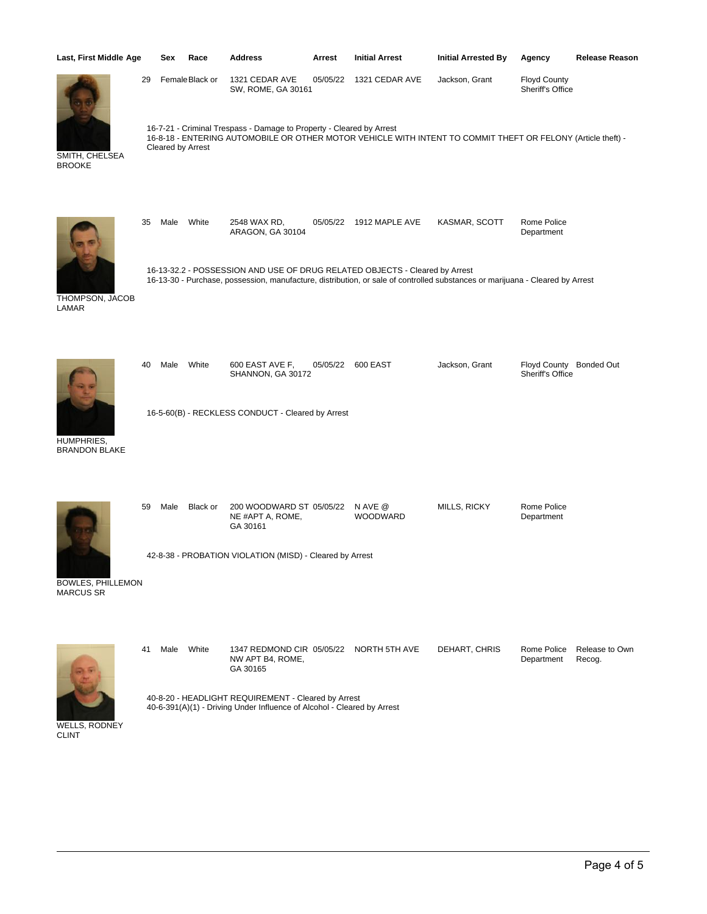| Last, First Middle Age                       |    | Sex               | Race           | <b>Address</b>                                                          | Arrest   | <b>Initial Arrest</b>                                                                                                                                                                                        | <b>Initial Arrested By</b> | Agency                                  | <b>Release Reason</b>    |
|----------------------------------------------|----|-------------------|----------------|-------------------------------------------------------------------------|----------|--------------------------------------------------------------------------------------------------------------------------------------------------------------------------------------------------------------|----------------------------|-----------------------------------------|--------------------------|
|                                              | 29 |                   | FemaleBlack or | 1321 CEDAR AVE<br>SW, ROME, GA 30161                                    | 05/05/22 | 1321 CEDAR AVE                                                                                                                                                                                               | Jackson, Grant             | <b>Floyd County</b><br>Sheriff's Office |                          |
| SMITH, CHELSEA<br><b>BROOKE</b>              |    | Cleared by Arrest |                | 16-7-21 - Criminal Trespass - Damage to Property - Cleared by Arrest    |          | 16-8-18 - ENTERING AUTOMOBILE OR OTHER MOTOR VEHICLE WITH INTENT TO COMMIT THEFT OR FELONY (Article theft) -                                                                                                 |                            |                                         |                          |
|                                              | 35 | Male              | White          | 2548 WAX RD,<br>ARAGON, GA 30104                                        |          | 05/05/22 1912 MAPLE AVE                                                                                                                                                                                      | KASMAR, SCOTT              | Rome Police<br>Department               |                          |
| THOMPSON, JACOB<br>LAMAR                     |    |                   |                |                                                                         |          | 16-13-32.2 - POSSESSION AND USE OF DRUG RELATED OBJECTS - Cleared by Arrest<br>16-13-30 - Purchase, possession, manufacture, distribution, or sale of controlled substances or marijuana - Cleared by Arrest |                            |                                         |                          |
|                                              | 40 | Male              | White          | 600 EAST AVE F,<br>SHANNON, GA 30172                                    | 05/05/22 | 600 EAST                                                                                                                                                                                                     | Jackson, Grant             | <b>Floyd County</b><br>Sheriff's Office | <b>Bonded Out</b>        |
| HUMPHRIES,<br><b>BRANDON BLAKE</b>           |    |                   |                | 16-5-60(B) - RECKLESS CONDUCT - Cleared by Arrest                       |          |                                                                                                                                                                                                              |                            |                                         |                          |
|                                              | 59 | Male              | Black or       | 200 WOODWARD ST 05/05/22<br>NE #APT A, ROME,<br>GA 30161                |          | N AVE @<br><b>WOODWARD</b>                                                                                                                                                                                   | MILLS, RICKY               | Rome Police<br>Department               |                          |
| <b>BOWLES, PHILLEMON</b><br><b>MARCUS SR</b> |    |                   |                | 42-8-38 - PROBATION VIOLATION (MISD) - Cleared by Arrest                |          |                                                                                                                                                                                                              |                            |                                         |                          |
|                                              | 41 | Male              | White          | 1347 REDMOND CIR 05/05/22 NORTH 5TH AVE<br>NW APT B4, ROME,<br>GA 30165 |          |                                                                                                                                                                                                              | DEHART, CHRIS              | Rome Police<br>Department               | Release to Own<br>Recog. |
|                                              |    |                   |                | 40-8-20 - HEADLIGHT REQUIREMENT - Cleared by Arrest                     |          |                                                                                                                                                                                                              |                            |                                         |                          |

40-6-391(A)(1) - Driving Under Influence of Alcohol - Cleared by Arrest

WELLS, RODNEY CLINT